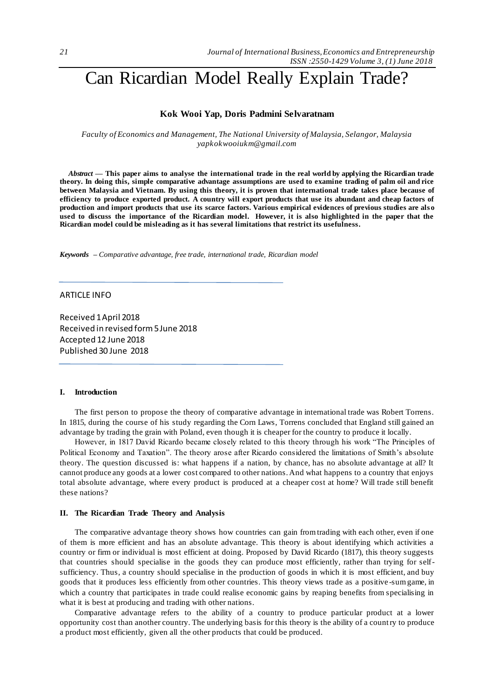# Can Ricardian Model Really Explain Trade?

## **Kok Wooi Yap, Doris Padmini Selvaratnam**

*Faculty of Economics and Management, The National University of Malaysia, Selangor, Malaysia yapkokwooiukm@gmail.com*

*Abstract —* **This paper aims to analyse the international trade in the real world by applying the Ricardian trade theory. In doing this, simple comparative advantage assumptions are used to examine trading of palm oil and rice between Malaysia and Vietnam. By using this theory, it is proven that international trade takes place because of efficiency to produce exported product. A country will export products that use its abundant and cheap factors of production and import products that use its scarce factors. Various empirical evidences of previous studies are als o used to discuss the importance of the Ricardian model. However, it is also highlighted in the paper that the Ricardian model could be misleading as it has several limitations that restrict its usefulness.**

*Keywords – Comparative advantage, free trade, international trade, Ricardian model* 

## ARTICLE INFO

Received 1 April 2018 Received in revised form 5 June 2018 Accepted 12 June 2018 Published 30 June 2018

#### **I. Introduction**

The first person to propose the theory of comparative advantage in international trade was Robert Torrens. In 1815, during the course of his study regarding the Corn Laws, Torrens concluded that England still gained an advantage by trading the grain with Poland, even though it is cheaper for the country to produce it locally.

However, in 1817 David Ricardo became closely related to this theory through his work "The Principles of Political Economy and Taxation". The theory arose after Ricardo considered the limitations of Smith's absolute theory. The question discussed is: what happens if a nation, by chance, has no absolute advantage at all? It cannot produce any goods at a lower cost compared to other nations. And what happens to a country that enjoys total absolute advantage, where every product is produced at a cheaper cost at home? Will trade still benefit these nations?

#### **II. The Ricardian Trade Theory and Analysis**

The comparative advantage theory shows how countries can gain from trading with each other, even if one of them is more efficient and has an absolute advantage. This theory is about identifying which activities a country or firm or individual is most efficient at doing. Proposed by David Ricardo (1817), this theory suggests that countries should specialise in the goods they can produce most efficiently, rather than trying for selfsufficiency. Thus, a country should specialise in the production of goods in which it is most efficient, and buy goods that it produces less efficiently from other countries. This theory views trade as a positive -sum game, in which a country that participates in trade could realise economic gains by reaping benefits from specialising in what it is best at producing and trading with other nations.

Comparative advantage refers to the ability of a country to produce particular product at a lower opportunity cost than another country. The underlying basis for this theory is the ability of a country to produce a product most efficiently, given all the other products that could be produced.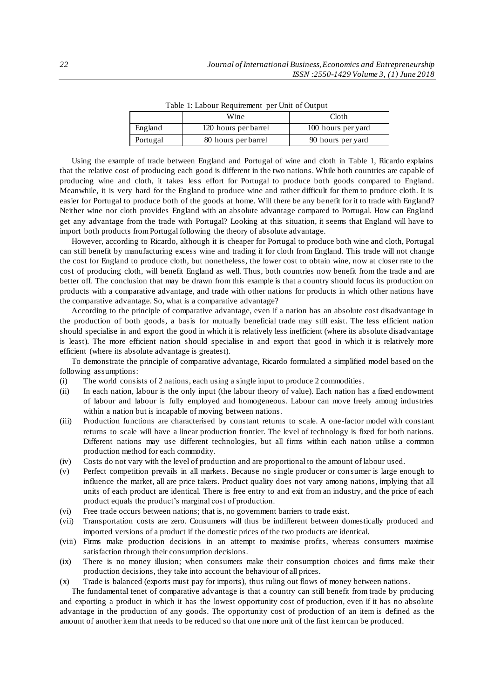|          | Wine                 | Cloth              |
|----------|----------------------|--------------------|
| England  | 120 hours per barrel | 100 hours per yard |
| Portugal | 80 hours per barrel  | 90 hours per yard  |

Table 1: Labour Requirement per Unit of Output

Using the example of trade between England and Portugal of wine and cloth in Table 1, Ricardo explains that the relative cost of producing each good is different in the two nations. While both countries are capable of producing wine and cloth, it takes less effort for Portugal to produce both goods compared to England. Meanwhile, it is very hard for the England to produce wine and rather difficult for them to produce cloth. It is easier for Portugal to produce both of the goods at home. Will there be any benefit for it to trade with England? Neither wine nor cloth provides England with an absolute advantage compared to Portugal. How can England get any advantage from the trade with Portugal? Looking at this situation, it seems that England will have to import both products from Portugal following the theory of absolute advantage.

However, according to Ricardo, although it is cheaper for Portugal to produce both wine and cloth, Portugal can still benefit by manufacturing excess wine and trading it for cloth from England. This trade will not change the cost for England to produce cloth, but nonetheless, the lower cost to obtain wine, now at closer rate to the cost of producing cloth, will benefit England as well. Thus, both countries now benefit from the trade a nd are better off. The conclusion that may be drawn from this example is that a country should focus its production on products with a comparative advantage, and trade with other nations for products in which other nations have the comparative advantage. So, what is a comparative advantage?

According to the principle of comparative advantage, even if a nation has an absolute cost disadvantage in the production of both goods, a basis for mutually beneficial trade may still exist. The less efficient nation should specialise in and export the good in which it is relatively less inefficient (where its absolute disadvantage is least). The more efficient nation should specialise in and export that good in which it is relatively more efficient (where its absolute advantage is greatest).

To demonstrate the principle of comparative advantage, Ricardo formulated a simplified model based on the following assumptions:

- (i) The world consists of 2 nations, each using a single input to produce 2 commodities.
- (ii) In each nation, labour is the only input (the labour theory of value). Each nation has a fixed endowment of labour and labour is fully employed and homogeneous. Labour can move freely among industries within a nation but is incapable of moving between nations.
- (iii) Production functions are characterised by constant returns to scale. A one-factor model with constant returns to scale will have a linear production frontier. The level of technology is fixed for both nations. Different nations may use different technologies, but all firms within each nation utilise a common production method for each commodity.
- (iv) Costs do not vary with the level of production and are proportional to the amount of labour used.
- (v) Perfect competition prevails in all markets. Because no single producer or consumer is large enough to influence the market, all are price takers. Product quality does not vary among nations, implying that all units of each product are identical. There is free entry to and exit from an industry, and the price of each product equals the product's marginal cost of production.
- (vi) Free trade occurs between nations; that is, no government barriers to trade exist.
- (vii) Transportation costs are zero. Consumers will thus be indifferent between domestically produced and imported versions of a product if the domestic prices of the two products are identical.
- (viii) Firms make production decisions in an attempt to maximise profits, whereas consumers maximise satisfaction through their consumption decisions.
- (ix) There is no money illusion; when consumers make their consumption choices and firms make their production decisions, they take into account the behaviour of all prices.
- (x) Trade is balanced (exports must pay for imports), thus ruling out flows of money between nations.

The fundamental tenet of comparative advantage is that a country can still benefit from trade by producing and exporting a product in which it has the lowest opportunity cost of production, even if it has no absolute advantage in the production of any goods. The opportunity cost of production of an item is defined as the amount of another item that needs to be reduced so that one more unit of the first item can be produced.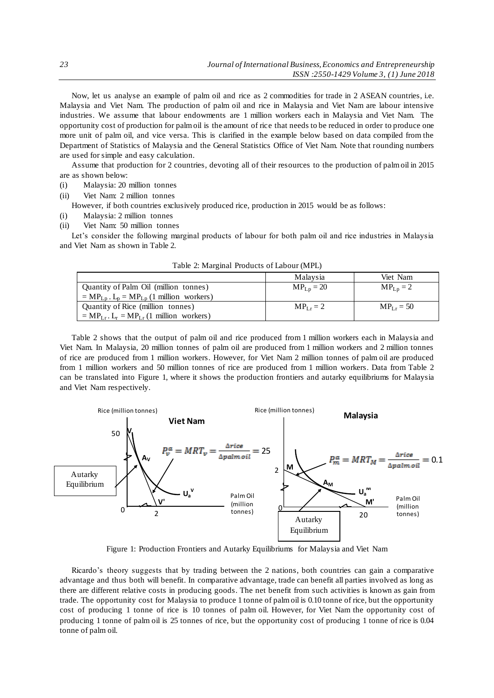Now, let us analyse an example of palm oil and rice as 2 commodities for trade in 2 ASEAN countries, i.e. Malaysia and Viet Nam. The production of palm oil and rice in Malaysia and Viet Nam are labour intensive industries. We assume that labour endowments are 1 million workers each in Malaysia and Viet Nam. The opportunity cost of production for palm oil is the amount of rice that needs to be reduced in order to produce one more unit of palm oil, and vice versa. This is clarified in the example below based on data compiled from the Department of Statistics of Malaysia and the General Statistics Office of Viet Nam. Note that rounding numbers are used for simple and easy calculation.

Assume that production for 2 countries, devoting all of their resources to the production of palm oil in 2015 are as shown below:

- (i) Malaysia: 20 million tonnes
- (ii) Viet Nam: 2 million tonnes

However, if both countries exclusively produced rice, production in 2015 would be as follows:

- (i) Malaysia: 2 million tonnes
- (ii) Viet Nam: 50 million tonnes

Let's consider the following marginal products of labour for both palm oil and rice industries in Malaysia and Viet Nam as shown in Table 2.

|                                                   | Malaysia       | Viet Nam      |
|---------------------------------------------------|----------------|---------------|
| Quantity of Palm Oil (million tonnes)             | $MP_{Lp} = 20$ | $MP_{Lp} = 2$ |
| $= MP_{Lp}$ . $L_p = MP_{Lp}$ (1 million workers) |                |               |
| Quantity of Rice (million tonnes)                 | $MPL = 2$      | $MPLr = 50$   |
| $= MP_{LT}$ . $L_r = MP_{LT}$ (1 million workers) |                |               |

Table 2: Marginal Products of Labour (MPL)

Table 2 shows that the output of palm oil and rice produced from 1 million workers each in Malaysia and Viet Nam. In Malaysia, 20 million tonnes of palm oil are produced from 1 million workers and 2 million tonnes of rice are produced from 1 million workers. However, for Viet Nam 2 million tonnes of palm oil are produced from 1 million workers and 50 million tonnes of rice are produced from 1 million workers. Data from Table 2 can be translated into Figure 1, where it shows the production frontiers and autarky equilibriums for Malaysia and Viet Nam respectively.



Figure 1: Production Frontiers and Autarky Equilibriums for Malaysia and Viet Nam

Ricardo's theory suggests that by trading between the 2 nations, both countries can gain a comparative advantage and thus both will benefit. In comparative advantage, trade can benefit all parties involved as long as there are different relative costs in producing goods. The net benefit from such activities is known as gain from trade. The opportunity cost for Malaysia to produce 1 tonne of palm oil is 0.10 tonne of rice, but the opportunity cost of producing 1 tonne of rice is 10 tonnes of palm oil. However, for Viet Nam the opportunity cost of producing 1 tonne of palm oil is 25 tonnes of rice, but the opportunity cost of producing 1 tonne of rice is 0.04 tonne of palm oil.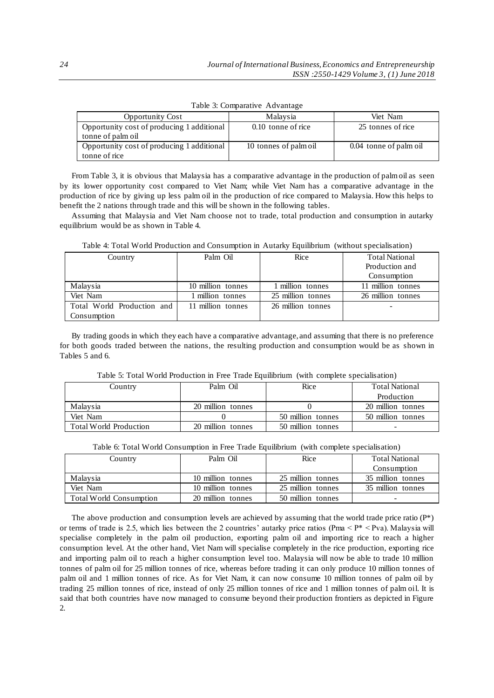| <b>Opportunity Cost</b>                                         | Malaysia              | Viet Nam               |
|-----------------------------------------------------------------|-----------------------|------------------------|
| Opportunity cost of producing 1 additional<br>tonne of palm oil | $0.10$ tonne of rice  | 25 tonnes of rice      |
| Opportunity cost of producing 1 additional<br>tonne of rice     | 10 tonnes of palm oil | 0.04 tonne of palm oil |

Table 3: Comparative Advantage

From Table 3, it is obvious that Malaysia has a comparative advantage in the production of palm oil as seen by its lower opportunity cost compared to Viet Nam; while Viet Nam has a comparative advantage in the production of rice by giving up less palm oil in the production of rice compared to Malaysia. How this helps to benefit the 2 nations through trade and this will be shown in the following tables.

Assuming that Malaysia and Viet Nam choose not to trade, total production and consumption in autarky equilibrium would be as shown in Table 4.

| Table 4: Total World Production and Consumption in Autarky Equilibrium (without specialisation) |  |  |
|-------------------------------------------------------------------------------------------------|--|--|
|-------------------------------------------------------------------------------------------------|--|--|

| Country                    | Palm Oil          | Rice              | <b>Total National</b> |
|----------------------------|-------------------|-------------------|-----------------------|
|                            |                   |                   | Production and        |
|                            |                   |                   | Consumption           |
| Malaysia                   | 10 million tonnes | 1 million tonnes  | 11 million tonnes     |
| Viet Nam                   | I million tonnes  | 25 million tonnes | 26 million tonnes     |
| Total World Production and | 11 million tonnes | 26 million tonnes |                       |
| Consumption                |                   |                   |                       |

By trading goods in which they each have a comparative advantage, and assuming that there is no preference for both goods traded between the nations, the resulting production and consumption would be as shown in Tables 5 and 6.

Table 5: Total World Production in Free Trade Equilibrium (with complete specialisation)

| Country                       | Palm Oil          | Rice              | <b>Total National</b> |
|-------------------------------|-------------------|-------------------|-----------------------|
|                               |                   |                   | Production            |
| Malaysia                      | 20 million tonnes |                   | 20 million tonnes     |
| Viet Nam                      |                   | 50 million tonnes | 50 million tonnes     |
| <b>Total World Production</b> | 20 million tonnes | 50 million tonnes | -                     |

| Table 6: Total World Consumption in Free Trade Equilibrium (with complete specialisation) |                             |                              |              |
|-------------------------------------------------------------------------------------------|-----------------------------|------------------------------|--------------|
| $Count_{n}$                                                                               | $D0$ lm $\bigcap_{i=1}^{n}$ | $\mathbf{p}_{i\alpha\alpha}$ | Total Nation |

| Country                        | Palm Oil          | Rice              | <b>Total National</b> |
|--------------------------------|-------------------|-------------------|-----------------------|
|                                |                   |                   | Consumption           |
| Malaysia                       | 10 million tonnes | 25 million tonnes | 35 million tonnes     |
| Viet Nam                       | 10 million tonnes | 25 million tonnes | 35 million tonnes     |
| <b>Total World Consumption</b> | 20 million tonnes | 50 million tonnes | -                     |

The above production and consumption levels are achieved by assuming that the world trade price ratio (P\*) or terms of trade is 2.5, which lies between the 2 countries' autarky price ratios (Pma  $\leq P^* \leq P$ va). Malaysia will specialise completely in the palm oil production, exporting palm oil and importing rice to reach a higher consumption level. At the other hand, Viet Nam will specialise completely in the rice production, exporting rice and importing palm oil to reach a higher consumption level too. Malaysia will now be able to trade 10 million tonnes of palm oil for 25 million tonnes of rice, whereas before trading it can only produce 10 million tonnes of palm oil and 1 million tonnes of rice. As for Viet Nam, it can now consume 10 million tonnes of palm oil by trading 25 million tonnes of rice, instead of only 25 million tonnes of rice and 1 million tonnes of palm oil. It is said that both countries have now managed to consume beyond their production frontiers as depicted in Figure 2.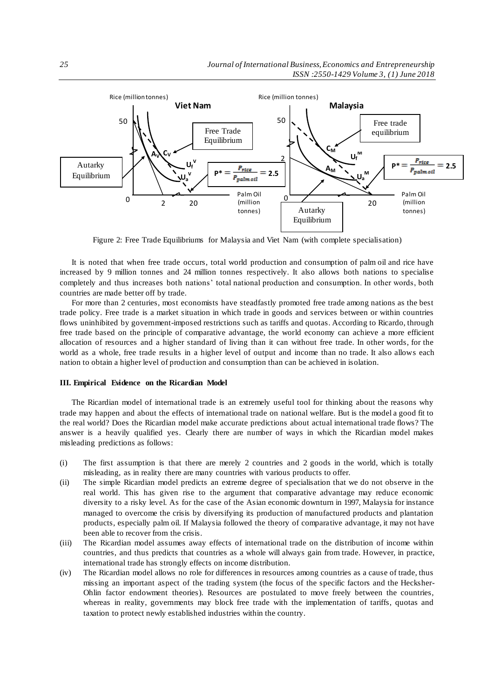

Figure 2: Free Trade Equilibriums for Malaysia and Viet Nam (with complete specialisation)

It is noted that when free trade occurs, total world production and consumption of palm oil and rice have increased by 9 million tonnes and 24 million tonnes respectively. It also allows both nations to specialise completely and thus increases both nations' total national production and consumption. In other words, both countries are made better off by trade.

For more than 2 centuries, most economists have steadfastly promoted free trade among nations as the best trade policy. Free trade is a market situation in which trade in goods and services between or within countries flows uninhibited by government-imposed restrictions such as tariffs and quotas. According to Ricardo, through free trade based on the principle of comparative advantage, the world economy can achieve a more efficient allocation of resources and a higher standard of living than it can without free trade. In other words, for the world as a whole, free trade results in a higher level of output and income than no trade. It also allows each nation to obtain a higher level of production and consumption than can be achieved in isolation.

### **III. Empirical Evidence on the Ricardian Model**

The Ricardian model of international trade is an extremely useful tool for thinking about the reasons why trade may happen and about the effects of international trade on national welfare. But is the model a good fit to the real world? Does the Ricardian model make accurate predictions about actual international trade flows? The answer is a heavily qualified yes. Clearly there are number of ways in which the Ricardian model makes misleading predictions as follows:

- (i) The first assumption is that there are merely 2 countries and 2 goods in the world, which is totally misleading, as in reality there are many countries with various products to offer.
- (ii) The simple Ricardian model predicts an extreme degree of specialisation that we do not observe in the real world. This has given rise to the argument that comparative advantage may reduce economic diversity to a risky level. As for the case of the Asian economic downturn in 1997, Malaysia for instance managed to overcome the crisis by diversifying its production of manufactured products and plantation products, especially palm oil. If Malaysia followed the theory of comparative advantage, it may not have been able to recover from the crisis.
- (iii) The Ricardian model assumes away effects of international trade on the distribution of income within countries, and thus predicts that countries as a whole will always gain from trade. However, in practice, international trade has strongly effects on income distribution.
- (iv) The Ricardian model allows no role for differences in resources among countries as a cause of trade, thus missing an important aspect of the trading system (the focus of the specific factors and the Hecksher-Ohlin factor endowment theories). Resources are postulated to move freely between the countries, whereas in reality, governments may block free trade with the implementation of tariffs, quotas and taxation to protect newly established industries within the country.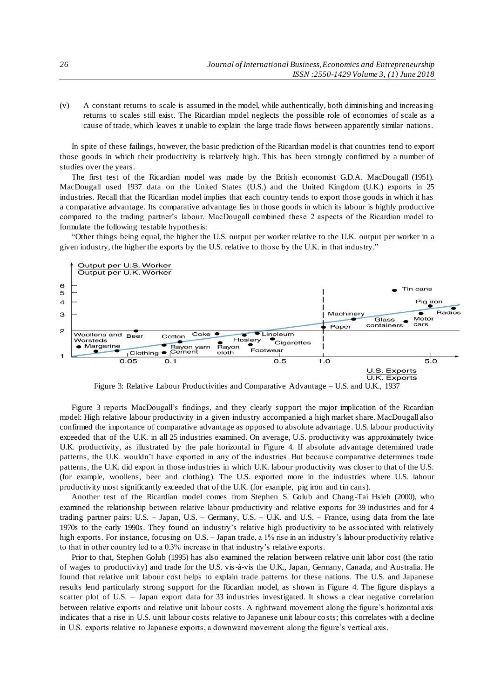(v) A constant returns to scale is assumed in the model, while authentically, both diminishing and increasing returns to scales still exist. The Ricardian model neglects the possible role of economies of scale as a cause of trade, which leaves it unable to explain the large trade flows between apparently similar nations.

In spite of these failings, however, the basic prediction of the Ricardian model is that countries tend to export those goods in which their productivity is relatively high. This has been strongly confirmed by a number of studies over the years.

The first test of the Ricardian model was made by the British economist G.D.A. MacDougall (1951). MacDougall used 1937 data on the United States (U.S.) and the United Kingdom (U.K.) exports in 25 industries. Recall that the Ricardian model implies that each country tends to export those goods in which it has a comparative advantage. Its comparative advantage lies in those goods in which its labour is highly productive compared to the trading partner's labour. MacDougall combined these 2 aspects of the Ricardian model to formulate the following testable hypothesis:

"Other things being equal, the higher the U.S. output per worker relative to the U.K. output per worker in a given industry, the higher the exports by the U.S. relative to those by the U.K. in that industry."



Figure 3: Relative Labour Productivities and Comparative Advantage – U.S. and U.K., 1937

Figure 3 reports MacDougall's findings, and they clearly support the major implication of the Ricardian model: High relative labour productivity in a given industry accompanied a high market share. MacDougall also confirmed the importance of comparative advantage as opposed to absolute advantage . U.S. labour productivity exceeded that of the U.K. in all 25 industries examined. On average, U.S. productivity was approximately twice U.K. productivity, as illustrated by the pale horizontal in Figure 4. If absolute advantage determined trade patterns, the U.K. wouldn't have exported in any of the industries. But because comparative determines trade patterns, the U.K. did export in those industries in which U.K. labour productivity was closer to that of the U.S. (for example, woollens, beer and clothing). The U.S. exported more in the industries where U.S. labour productivity most significantly exceeded that of the U.K. (for example, pig iron and tin cans).

Another test of the Ricardian model comes from Stephen S. Golub and Chang -Tai Hsieh (2000), who examined the relationship between relative labour productivity and relative exports for 39 industries and for 4 trading partner pairs: U.S. – Japan, U.S. – Germany, U.S. – U.K. and U.S. – France, using data from the late 1970s to the early 1990s. They found an industry's relative high productivity to be associated with relatively high exports. For instance, focusing on U.S. – Japan trade, a 1% rise in an industry's labour productivity relative to that in other country led to a 0.3% increase in that industry's relative exports.

Prior to that, Stephen Golub (1995) has also examined the relation between relative unit labor cost (the ratio of wages to productivity) and trade for the U.S. vis-à-vis the U.K., Japan, Germany, Canada, and Australia. He found that relative unit labour cost helps to explain trade patterns for these nations. The U.S. and Japanese results lend particularly strong support for the Ricardian model, as shown in Figure 4. The figure displays a scatter plot of U.S. – Japan export data for 33 industries investigated. It shows a clear negative correlation between relative exports and relative unit labour costs. A rightward movement along the figure's horizontal axis indicates that a rise in U.S. unit labour costs relative to Japanese unit labour co sts; this correlates with a decline in U.S. exports relative to Japanese exports, a downward movement along the figure's vertical axis.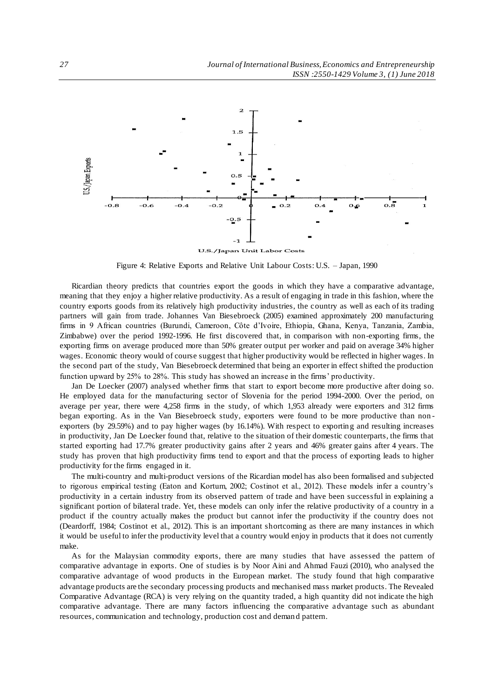

Figure 4: Relative Exports and Relative Unit Labour Costs: U.S. – Japan, 1990

Ricardian theory predicts that countries export the goods in which they have a comparative advantage, meaning that they enjoy a higher relative productivity. As a result of engaging in trade in this fashion, where the country exports goods from its relatively high productivity industries, the country as well as each of its trading partners will gain from trade. Johannes Van Biesebroeck (2005) examined approximately 200 manufacturing firms in 9 African countries (Burundi, Cameroon, Côte d'Ivoire, Ethiopia, Ghana, Kenya, Tanzania, Zambia, Zimbabwe) over the period 1992-1996. He first discovered that, in comparison with non-exporting firms, the exporting firms on average produced more than 50% greater output per worker and paid on average 34% higher wages. Economic theory would of course suggest that higher productivity would be reflected in higher wages. In the second part of the study, Van Biesebroeck determined that being an exporter in effect shifted the production function upward by 25% to 28%. This study has showed an increase in the firms' productivity.

Jan De Loecker (2007) analysed whether firms that start to export become more productive after doing so. He employed data for the manufacturing sector of Slovenia for the period 1994-2000. Over the period, on average per year, there were 4,258 firms in the study, of which 1,953 already were exporters and 312 firms began exporting. As in the Van Biesebroeck study, exporters were found to be more productive than non exporters (by 29.59%) and to pay higher wages (by 16.14%). With respect to exportin g and resulting increases in productivity, Jan De Loecker found that, relative to the situation of their domestic counterparts, the firms that started exporting had 17.7% greater productivity gains after 2 years and 46% greater gains after 4 years. The study has proven that high productivity firms tend to export and that the process of exporting leads to higher productivity for the firms engaged in it.

The multi-country and multi-product versions of the Ricardian model has also been formalised and subjected to rigorous empirical testing (Eaton and Kortum, 2002; Costinot et al., 2012). These models infer a country's productivity in a certain industry from its observed pattern of trade and have been successful in explaining a significant portion of bilateral trade. Yet, these models can only infer the relative productivity of a country in a product if the country actually makes the product but cannot infer the productivity if the country does not (Deardorff, 1984; Costinot et al., 2012). This is an important shortcoming as there are many instances in which it would be useful to infer the productivity level that a country would enjoy in products that it does not currently make.

As for the Malaysian commodity exports, there are many studies that have assessed the pattern of comparative advantage in exports. One of studies is by Noor Aini and Ahmad Fauzi (2010), who analysed the comparative advantage of wood products in the European market. The study found that high comparative advantage products are the secondary processing products and mechanised mass market products. The Revealed Comparative Advantage (RCA) is very relying on the quantity traded, a high quantity did not indicate the high comparative advantage. There are many factors influencing the comparative advantage such as abundant resources, communication and technology, production cost and demand pattern.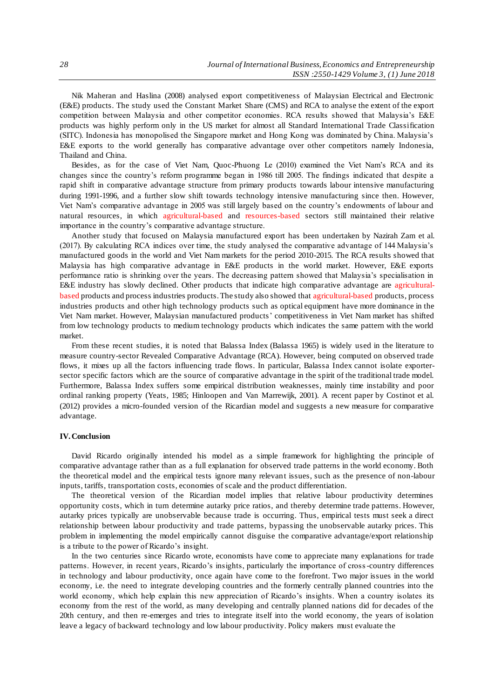Nik Maheran and Haslina (2008) analysed export competitiveness of Malaysian Electrical and Electronic (E&E) products. The study used the Constant Market Share (CMS) and RCA to analyse the extent of the export competition between Malaysia and other competitor economies. RCA results showed that Malaysia's E&E products was highly perform only in the US market for almost all Standard International Trade Classification (SITC). Indonesia has monopolised the Singapore market and Hong Kong was dominated by China. Malaysia's E&E exports to the world generally has comparative advantage over other competitors namely Indonesia, Thailand and China.

Besides, as for the case of Viet Nam, Quoc-Phuong Le (2010) examined the Viet Nam's RCA and its changes since the country's reform programme began in 1986 till 2005. The findings indicated that despite a rapid shift in comparative advantage structure from primary products towards labour intensive manufacturing during 1991-1996, and a further slow shift towards technology intensive manufacturing since then. However, Viet Nam's comparative advantage in 2005 was still largely based on the country's endowments of labour and natural resources, in which agricultural-based and resources-based sectors still maintained their relative importance in the country's comparative advantage structure.

Another study that focused on Malaysia manufactured export has been undertaken by Nazirah Zam et al. (2017). By calculating RCA indices over time, the study analysed the comparative advantage of 144 Malaysia's manufactured goods in the world and Viet Nam markets for the period 2010-2015. The RCA results showed that Malaysia has high comparative advantage in E&E products in the world market. However, E&E exports performance ratio is shrinking over the years. The decreasing pattern showed that Malaysia's specialisation in E&E industry has slowly declined. Other products that indicate high comparative advantage are agriculturalbased products and process industries products. The study also showed that agricultural-based products, process industries products and other high technology products such as optical equipment have more dominance in the Viet Nam market. However, Malaysian manufactured products' competitiveness in Viet Nam market has shifted from low technology products to medium technology products which indicates the same pattern with the world market.

From these recent studies, it is noted that Balassa Index (Balassa 1965) is widely used in the literature to measure country-sector Revealed Comparative Advantage (RCA). However, being computed on observed trade flows, it mixes up all the factors influencing trade flows. In particular, Balassa Index cannot isolate exportersector specific factors which are the source of comparative advantage in the spirit of the traditional trade model. Furthermore, Balassa Index suffers some empirical distribution weaknesses, mainly time instability and poor ordinal ranking property (Yeats, 1985; Hinloopen and Van Marrewijk, 2001). A recent paper by Costinot et al. (2012) provides a micro-founded version of the Ricardian model and suggests a new measure for comparative advantage.

#### **IV.Conclusion**

David Ricardo originally intended his model as a simple framework for highlighting the principle of comparative advantage rather than as a full explanation for observed trade patterns in the world economy. Both the theoretical model and the empirical tests ignore many relevant issues, such as the presence of non-labour inputs, tariffs, transportation costs, economies of scale and the product differentiation.

The theoretical version of the Ricardian model implies that relative labour productivity determines opportunity costs, which in turn determine autarky price ratios, and thereby determine trade patterns. However, autarky prices typically are unobservable because trade is occurring. Thus, empirical tests must seek a direct relationship between labour productivity and trade patterns, bypassing the unobservable autarky prices. This problem in implementing the model empirically cannot disguise the comparative advantage/export relationship is a tribute to the power of Ricardo's insight.

In the two centuries since Ricardo wrote, economists have come to appreciate many explanations for trade patterns. However, in recent years, Ricardo's insights, particularly the importance of cross-country differences in technology and labour productivity, once again have come to the forefront. Two major issues in the world economy, i.e. the need to integrate developing countries and the formerly centrally planned countries into the world economy, which help explain this new appreciation of Ricardo's insights. When a country isolates its economy from the rest of the world, as many developing and centrally planned nations did for decades of the 20th century, and then re-emerges and tries to integrate itself into the world economy, the years of isolation leave a legacy of backward technology and low labour productivity. Policy makers must evaluate the